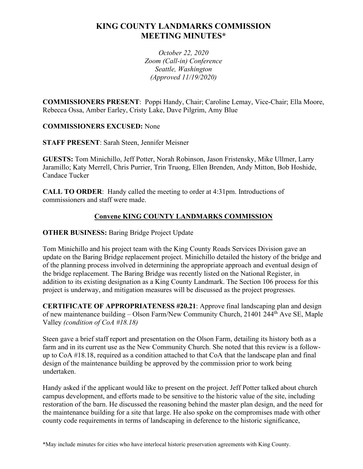# **KING COUNTY LANDMARKS COMMISSION MEETING MINUTES\***

*October 22, 2020 Zoom (Call-in) Conference Seattle, Washington (Approved 11/19/2020)*

**COMMISSIONERS PRESENT**: Poppi Handy, Chair; Caroline Lemay, Vice-Chair; Ella Moore, Rebecca Ossa, Amber Earley, Cristy Lake, Dave Pilgrim, Amy Blue

## **COMMISSIONERS EXCUSED:** None

**STAFF PRESENT**: Sarah Steen, Jennifer Meisner

**GUESTS:** Tom Minichillo, Jeff Potter, Norah Robinson, Jason Fristensky, Mike Ullmer, Larry Jaramillo; Katy Merrell, Chris Purrier, Trin Truong, Ellen Brenden, Andy Mitton, Bob Hoshide, Candace Tucker

**CALL TO ORDER**: Handy called the meeting to order at 4:31pm. Introductions of commissioners and staff were made.

## **Convene KING COUNTY LANDMARKS COMMISSION**

## **OTHER BUSINESS:** Baring Bridge Project Update

Tom Minichillo and his project team with the King County Roads Services Division gave an update on the Baring Bridge replacement project. Minichillo detailed the history of the bridge and of the planning process involved in determining the appropriate approach and eventual design of the bridge replacement. The Baring Bridge was recently listed on the National Register, in addition to its existing designation as a King County Landmark. The Section 106 process for this project is underway, and mitigation measures will be discussed as the project progresses.

**CERTIFICATE OF APPROPRIATENESS #20.21**: Approve final landscaping plan and design of new maintenance building – Olson Farm/New Community Church, 21401 244th Ave SE, Maple Valley *(condition of CoA #18.18)*

Steen gave a brief staff report and presentation on the Olson Farm, detailing its history both as a farm and in its current use as the New Community Church. She noted that this review is a followup to CoA #18.18, required as a condition attached to that CoA that the landscape plan and final design of the maintenance building be approved by the commission prior to work being undertaken.

Handy asked if the applicant would like to present on the project. Jeff Potter talked about church campus development, and efforts made to be sensitive to the historic value of the site, including restoration of the barn. He discussed the reasoning behind the master plan design, and the need for the maintenance building for a site that large. He also spoke on the compromises made with other county code requirements in terms of landscaping in deference to the historic significance,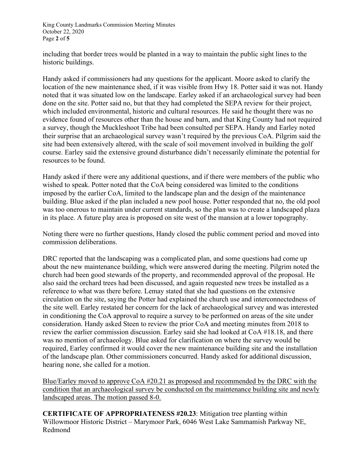King County Landmarks Commission Meeting Minutes October 22, 2020 Page **2** of **5**

including that border trees would be planted in a way to maintain the public sight lines to the historic buildings.

Handy asked if commissioners had any questions for the applicant. Moore asked to clarify the location of the new maintenance shed, if it was visible from Hwy 18. Potter said it was not. Handy noted that it was situated low on the landscape. Earley asked if an archaeological survey had been done on the site. Potter said no, but that they had completed the SEPA review for their project, which included environmental, historic and cultural resources. He said he thought there was no evidence found of resources other than the house and barn, and that King County had not required a survey, though the Muckleshoot Tribe had been consulted per SEPA. Handy and Earley noted their surprise that an archaeological survey wasn't required by the previous CoA. Pilgrim said the site had been extensively altered, with the scale of soil movement involved in building the golf course. Earley said the extensive ground disturbance didn't necessarily eliminate the potential for resources to be found.

Handy asked if there were any additional questions, and if there were members of the public who wished to speak. Potter noted that the CoA being considered was limited to the conditions imposed by the earlier CoA, limited to the landscape plan and the design of the maintenance building. Blue asked if the plan included a new pool house. Potter responded that no, the old pool was too onerous to maintain under current standards, so the plan was to create a landscaped plaza in its place. A future play area is proposed on site west of the mansion at a lower topography.

Noting there were no further questions, Handy closed the public comment period and moved into commission deliberations.

DRC reported that the landscaping was a complicated plan, and some questions had come up about the new maintenance building, which were answered during the meeting. Pilgrim noted the church had been good stewards of the property, and recommended approval of the proposal. He also said the orchard trees had been discussed, and again requested new trees be installed as a reference to what was there before. Lemay stated that she had questions on the extensive circulation on the site, saying the Potter had explained the church use and interconnectedness of the site well. Earley restated her concern for the lack of archaeological survey and was interested in conditioning the CoA approval to require a survey to be performed on areas of the site under consideration. Handy asked Steen to review the prior CoA and meeting minutes from 2018 to review the earlier commission discussion. Earley said she had looked at CoA #18.18, and there was no mention of archaeology. Blue asked for clarification on where the survey would be required, Earley confirmed it would cover the new maintenance building site and the installation of the landscape plan. Other commissioners concurred. Handy asked for additional discussion, hearing none, she called for a motion.

Blue/Earley moved to approve CoA #20.21 as proposed and recommended by the DRC with the condition that an archaeological survey be conducted on the maintenance building site and newly landscaped areas. The motion passed 8-0.

**CERTIFICATE OF APPROPRIATENESS #20.23**: Mitigation tree planting within Willowmoor Historic District – Marymoor Park, 6046 West Lake Sammamish Parkway NE, Redmond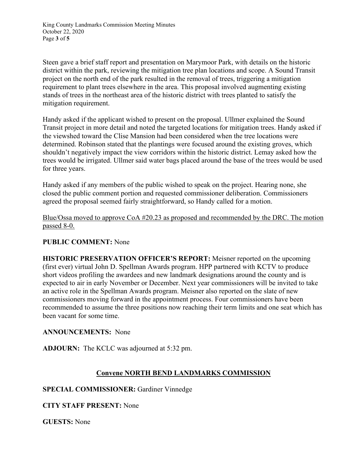King County Landmarks Commission Meeting Minutes October 22, 2020 Page **3** of **5**

Steen gave a brief staff report and presentation on Marymoor Park, with details on the historic district within the park, reviewing the mitigation tree plan locations and scope. A Sound Transit project on the north end of the park resulted in the removal of trees, triggering a mitigation requirement to plant trees elsewhere in the area. This proposal involved augmenting existing stands of trees in the northeast area of the historic district with trees planted to satisfy the mitigation requirement.

Handy asked if the applicant wished to present on the proposal. Ullmer explained the Sound Transit project in more detail and noted the targeted locations for mitigation trees. Handy asked if the viewshed toward the Clise Mansion had been considered when the tree locations were determined. Robinson stated that the plantings were focused around the existing groves, which shouldn't negatively impact the view corridors within the historic district. Lemay asked how the trees would be irrigated. Ullmer said water bags placed around the base of the trees would be used for three years.

Handy asked if any members of the public wished to speak on the project. Hearing none, she closed the public comment portion and requested commissioner deliberation. Commissioners agreed the proposal seemed fairly straightforward, so Handy called for a motion.

Blue/Ossa moved to approve CoA #20.23 as proposed and recommended by the DRC. The motion passed 8-0.

## **PUBLIC COMMENT:** None

**HISTORIC PRESERVATION OFFICER'S REPORT:** Meisner reported on the upcoming (first ever) virtual John D. Spellman Awards program. HPP partnered with KCTV to produce short videos profiling the awardees and new landmark designations around the county and is expected to air in early November or December. Next year commissioners will be invited to take an active role in the Spellman Awards program. Meisner also reported on the slate of new commissioners moving forward in the appointment process. Four commissioners have been recommended to assume the three positions now reaching their term limits and one seat which has been vacant for some time.

#### **ANNOUNCEMENTS:** None

**ADJOURN:** The KCLC was adjourned at 5:32 pm.

## **Convene NORTH BEND LANDMARKS COMMISSION**

## **SPECIAL COMMISSIONER:** Gardiner Vinnedge

**CITY STAFF PRESENT:** None

**GUESTS:** None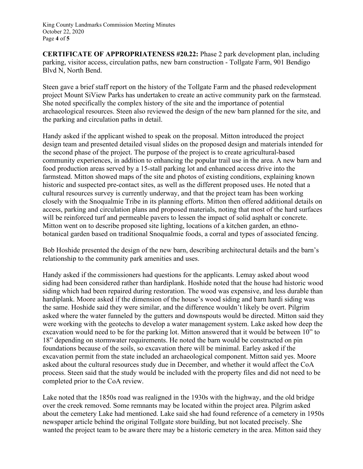**CERTIFICATE OF APPROPRIATENESS #20.22:** Phase 2 park development plan, including parking, visitor access, circulation paths, new barn construction - Tollgate Farm, 901 Bendigo Blvd N, North Bend.

Steen gave a brief staff report on the history of the Tollgate Farm and the phased redevelopment project Mount SiView Parks has undertaken to create an active community park on the farmstead. She noted specifically the complex history of the site and the importance of potential archaeological resources. Steen also reviewed the design of the new barn planned for the site, and the parking and circulation paths in detail.

Handy asked if the applicant wished to speak on the proposal. Mitton introduced the project design team and presented detailed visual slides on the proposed design and materials intended for the second phase of the project. The purpose of the project is to create agricultural-based community experiences, in addition to enhancing the popular trail use in the area. A new barn and food production areas served by a 15-stall parking lot and enhanced access drive into the farmstead. Mitton showed maps of the site and photos of existing conditions, explaining known historic and suspected pre-contact sites, as well as the different proposed uses. He noted that a cultural resources survey is currently underway, and that the project team has been working closely with the Snoqualmie Tribe in its planning efforts. Mitton then offered additional details on access, parking and circulation plans and proposed materials, noting that most of the hard surfaces will be reinforced turf and permeable pavers to lessen the impact of solid asphalt or concrete. Mitton went on to describe proposed site lighting, locations of a kitchen garden, an ethnobotanical garden based on traditional Snoqualmie foods, a corral and types of associated fencing.

Bob Hoshide presented the design of the new barn, describing architectural details and the barn's relationship to the community park amenities and uses.

Handy asked if the commissioners had questions for the applicants. Lemay asked about wood siding had been considered rather than hardiplank. Hoshide noted that the house had historic wood siding which had been repaired during restoration. The wood was expensive, and less durable than hardiplank. Moore asked if the dimension of the house's wood siding and barn hardi siding was the same. Hoshide said they were similar, and the difference wouldn't likely be overt. Pilgrim asked where the water funneled by the gutters and downspouts would be directed. Mitton said they were working with the geotechs to develop a water management system. Lake asked how deep the excavation would need to be for the parking lot. Mitton answered that it would be between 10" to 18" depending on stormwater requirements. He noted the barn would be constructed on pin foundations because of the soils, so excavation there will be minimal. Earley asked if the excavation permit from the state included an archaeological component. Mitton said yes. Moore asked about the cultural resources study due in December, and whether it would affect the CoA process. Steen said that the study would be included with the property files and did not need to be completed prior to the CoA review.

Lake noted that the 1850s road was realigned in the 1930s with the highway, and the old bridge over the creek removed. Some remnants may be located within the project area. Pilgrim asked about the cemetery Lake had mentioned. Lake said she had found reference of a cemetery in 1950s newspaper article behind the original Tollgate store building, but not located precisely. She wanted the project team to be aware there may be a historic cemetery in the area. Mitton said they